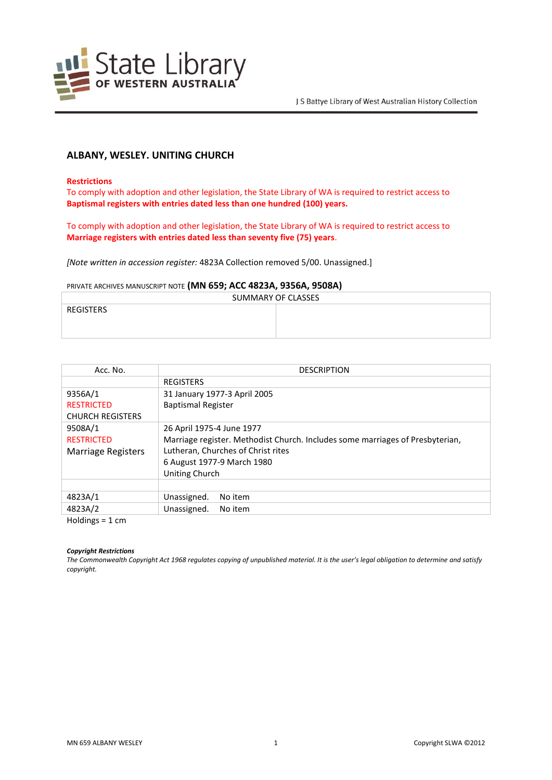

# **ALBANY, WESLEY. UNITING CHURCH**

### **Restrictions**

To comply with adoption and other legislation, the State Library of WA is required to restrict access to **Baptismal registers with entries dated less than one hundred (100) years.**

To comply with adoption and other legislation, the State Library of WA is required to restrict access to **Marriage registers with entries dated less than seventy five (75) years**.

*[Note written in accession register:* 4823A Collection removed 5/00. Unassigned.]

### PRIVATE ARCHIVES MANUSCRIPT NOTE **(MN 659; ACC 4823A, 9356A, 9508A)**

| SUMMARY OF CLASSES |  |
|--------------------|--|
| <b>REGISTERS</b>   |  |
|                    |  |
|                    |  |

| Acc. No.                  | <b>DESCRIPTION</b>                                                            |  |
|---------------------------|-------------------------------------------------------------------------------|--|
|                           | <b>REGISTERS</b>                                                              |  |
| 9356A/1                   | 31 January 1977-3 April 2005                                                  |  |
| <b>RESTRICTED</b>         | <b>Baptismal Register</b>                                                     |  |
| <b>CHURCH REGISTERS</b>   |                                                                               |  |
| 9508A/1                   | 26 April 1975-4 June 1977                                                     |  |
| <b>RESTRICTED</b>         | Marriage register. Methodist Church. Includes some marriages of Presbyterian, |  |
| <b>Marriage Registers</b> | Lutheran, Churches of Christ rites                                            |  |
|                           | 6 August 1977-9 March 1980                                                    |  |
|                           | Uniting Church                                                                |  |
|                           |                                                                               |  |
| 4823A/1                   | Unassigned.<br>No item                                                        |  |
| 4823A/2                   | Unassigned.<br>No item                                                        |  |
| $Haldinac = 1 cm$         |                                                                               |  |

Holdings = 1 cm

### *Copyright Restrictions*

*The Commonwealth Copyright Act 1968 regulates copying of unpublished material. It is the user's legal obligation to determine and satisfy copyright.*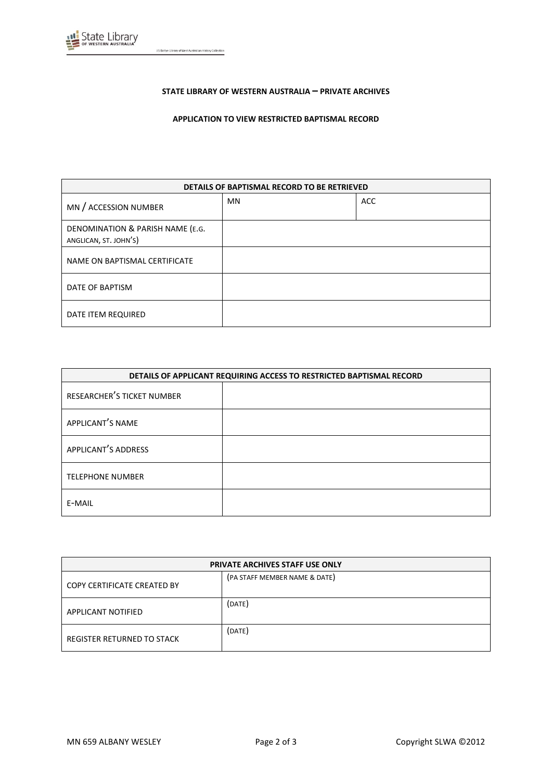

J S Battye Library of West Australian History Collection

## **STATE LIBRARY OF WESTERN AUSTRALIA – PRIVATE ARCHIVES**

# **APPLICATION TO VIEW RESTRICTED BAPTISMAL RECORD**

| DETAILS OF BAPTISMAL RECORD TO BE RETRIEVED               |           |            |
|-----------------------------------------------------------|-----------|------------|
| MN / ACCESSION NUMBER                                     | <b>MN</b> | <b>ACC</b> |
| DENOMINATION & PARISH NAME (E.G.<br>ANGLICAN, ST. JOHN'S) |           |            |
| NAME ON BAPTISMAL CERTIFICATE                             |           |            |
| DATE OF BAPTISM                                           |           |            |
| DATE ITEM REQUIRED                                        |           |            |

| DETAILS OF APPLICANT REQUIRING ACCESS TO RESTRICTED BAPTISMAL RECORD |  |
|----------------------------------------------------------------------|--|
| RESEARCHER'S TICKET NUMBER                                           |  |
| APPLICANT'S NAME                                                     |  |
| APPLICANT'S ADDRESS                                                  |  |
| <b>TELEPHONE NUMBER</b>                                              |  |
| E-MAIL                                                               |  |

| PRIVATE ARCHIVES STAFF USE ONLY |                               |
|---------------------------------|-------------------------------|
| COPY CERTIFICATE CREATED BY     | (PA STAFF MEMBER NAME & DATE) |
| <b>APPLICANT NOTIFIED</b>       | (DATE)                        |
| REGISTER RETURNED TO STACK      | (DATE)                        |